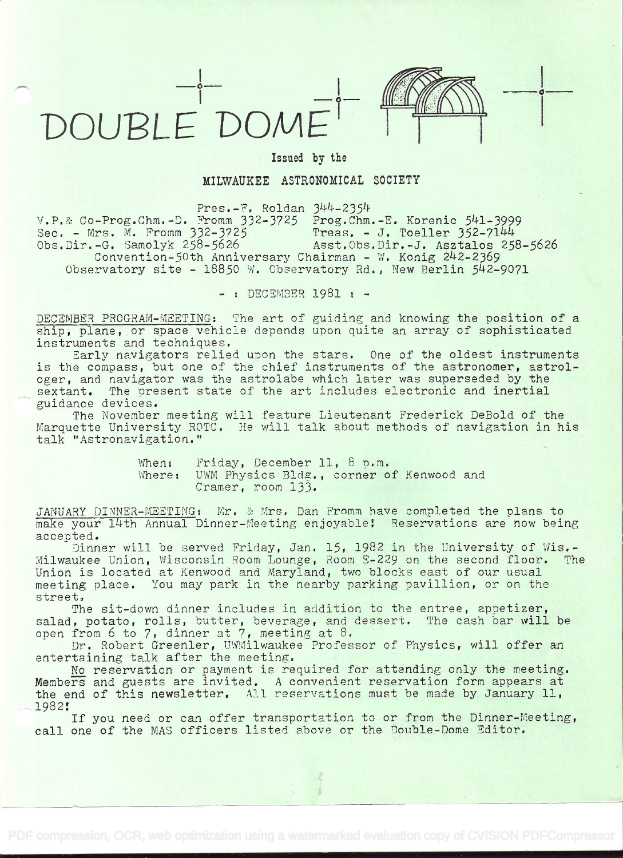



in the contract of the contract of

## Issued by the

## MILWAUKEE ASTRONOMICAL SOCIETY

 $Pres.-F.$  Roldan  $344-2354$ v.P.& Co-Prog.Chm.-D. Fromm 332-3725 Prog.Chm.-E. Korenic 541-3999<br>Sec. - Mrs. M. Fromm 332-3725 Treas. - J. Toeller 352-7144 Sec. - Mrs. M. Fromm 332-3725<br>Obs.Dir.-G. Samolyk 258-5626 Asst.Obs.Dir.-J. Asztalos 258-5626 Convention-50th Anniversary Chairman - W. Konig 242-2369 Observatory site - 18850 W. Observatory Rd., New Berlin 542-9071

- : DECSMBER 1981 : -

DECEMBER PROGRAM-MEETING: The art of guiding and knowing the position of a ship, plane, or space vehicle depends upon quite an array of sophisticated instruments and techniques.<br>Early navigators relied upon the stars. One of the oldest instruments

is the compass, but one of the chief instruments of the astronomer, astrologer, and navigator was the astrolabe which later was superseded by the sextant. The present state of the art includes electronic and inertial The present state of the art includes electronic and inertial guidance devices.

The November meeting will feature Lieutenant Frederick DeBold of the Marquette University ROTC. He will talk about methods of navigation in his talk "Astronavigation."

> When: Friday, December 11, 8 p.m.<br>Where: UWM Physics Bldg., corner of Kenwood and Cramer, room 133.

JANUARY DINNER-MEETING: Mr. & Mrs. Dan Fromm have completed the plans to<br>make your 14th Annual Dinner-Meeting enjoyable: Reservations are now being

accepted.<br>Dinner will be served Friday, Jan. 15, 1982 in the University of Wis.-<br>Milwaukee Union. Wisconsin Room Lounge. Room E-229 on the second floor. The Milwaukee Union, Wisconsin Room Lounge, Room E-229 on the second floor. Union is located at Kenwood and Maryland, two blocks east of our usual meeting place. You may park in the nearby parking pavillion, or on the street.<br>The sit-down dinner includes in addition to the entree, appetizer,

salad, potato, rolls, butter, beverage, and dessert. The cash bar will be open from 6 to 7, dinner at 7, meeting at 8.

Dr. Robert Greenler, UWMilwaukee Professor of Physics, will offer an entertaining talk after the meeting.<br>No reservation or payment is required for attending only the meeting.

Members and guests are invited. A convenient reservation form appears at the end of this newsletter. All reservations must be made by January 11,<br>1982:

If you need or can offer transportation to or from the Dinner-Meeting, call one of the MAS officers listed above or the Double-Dome Editor.